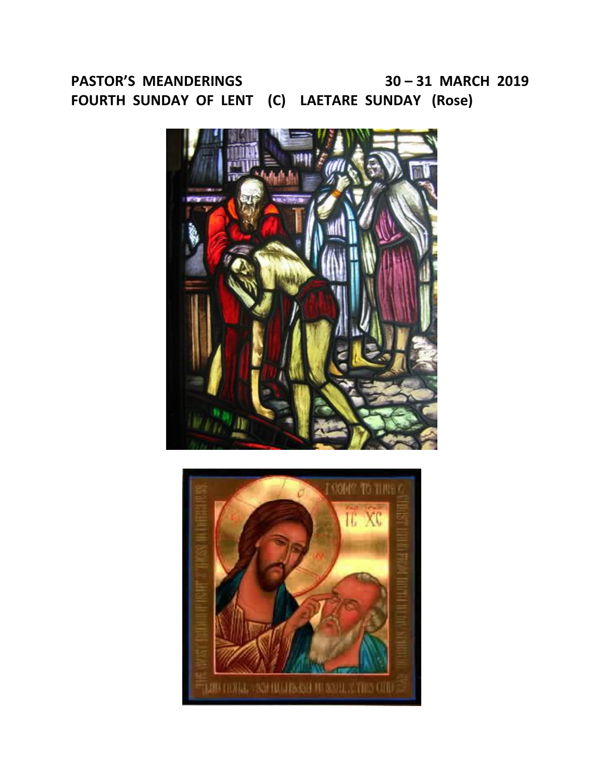# **PASTOR'S MEANDERINGS 30 – 31 MARCH 2019 FOURTH SUNDAY OF LENT (C) LAETARE SUNDAY (Rose)**



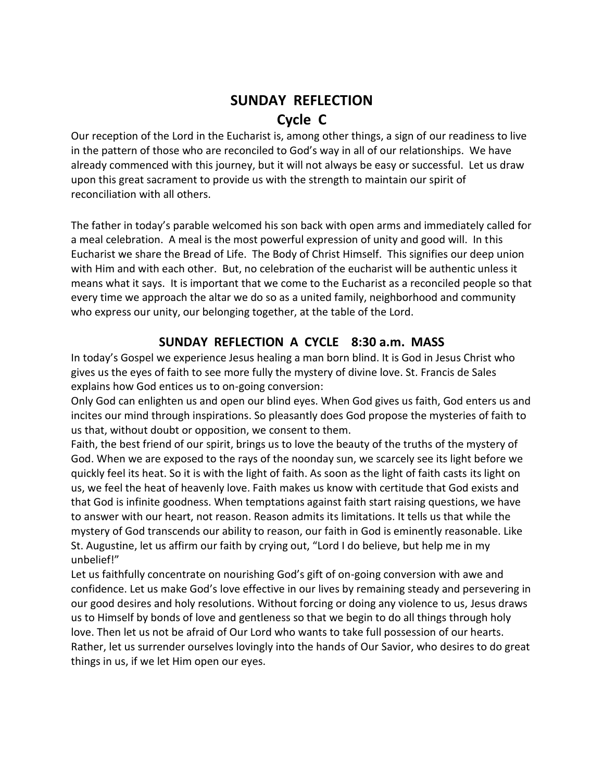# **SUNDAY REFLECTION Cycle C**

Our reception of the Lord in the Eucharist is, among other things, a sign of our readiness to live in the pattern of those who are reconciled to God's way in all of our relationships. We have already commenced with this journey, but it will not always be easy or successful. Let us draw upon this great sacrament to provide us with the strength to maintain our spirit of reconciliation with all others.

The father in today's parable welcomed his son back with open arms and immediately called for a meal celebration. A meal is the most powerful expression of unity and good will. In this Eucharist we share the Bread of Life. The Body of Christ Himself. This signifies our deep union with Him and with each other. But, no celebration of the eucharist will be authentic unless it means what it says. It is important that we come to the Eucharist as a reconciled people so that every time we approach the altar we do so as a united family, neighborhood and community who express our unity, our belonging together, at the table of the Lord.

# **SUNDAY REFLECTION A CYCLE 8:30 a.m. MASS**

In today's Gospel we experience Jesus healing a man born blind. It is God in Jesus Christ who gives us the eyes of faith to see more fully the mystery of divine love. St. Francis de Sales explains how God entices us to on-going conversion:

Only God can enlighten us and open our blind eyes. When God gives us faith, God enters us and incites our mind through inspirations. So pleasantly does God propose the mysteries of faith to us that, without doubt or opposition, we consent to them.

Faith, the best friend of our spirit, brings us to love the beauty of the truths of the mystery of God. When we are exposed to the rays of the noonday sun, we scarcely see its light before we quickly feel its heat. So it is with the light of faith. As soon as the light of faith casts its light on us, we feel the heat of heavenly love. Faith makes us know with certitude that God exists and that God is infinite goodness. When temptations against faith start raising questions, we have to answer with our heart, not reason. Reason admits its limitations. It tells us that while the mystery of God transcends our ability to reason, our faith in God is eminently reasonable. Like St. Augustine, let us affirm our faith by crying out, "Lord I do believe, but help me in my unbelief!"

Let us faithfully concentrate on nourishing God's gift of on-going conversion with awe and confidence. Let us make God's love effective in our lives by remaining steady and persevering in our good desires and holy resolutions. Without forcing or doing any violence to us, Jesus draws us to Himself by bonds of love and gentleness so that we begin to do all things through holy love. Then let us not be afraid of Our Lord who wants to take full possession of our hearts. Rather, let us surrender ourselves lovingly into the hands of Our Savior, who desires to do great things in us, if we let Him open our eyes.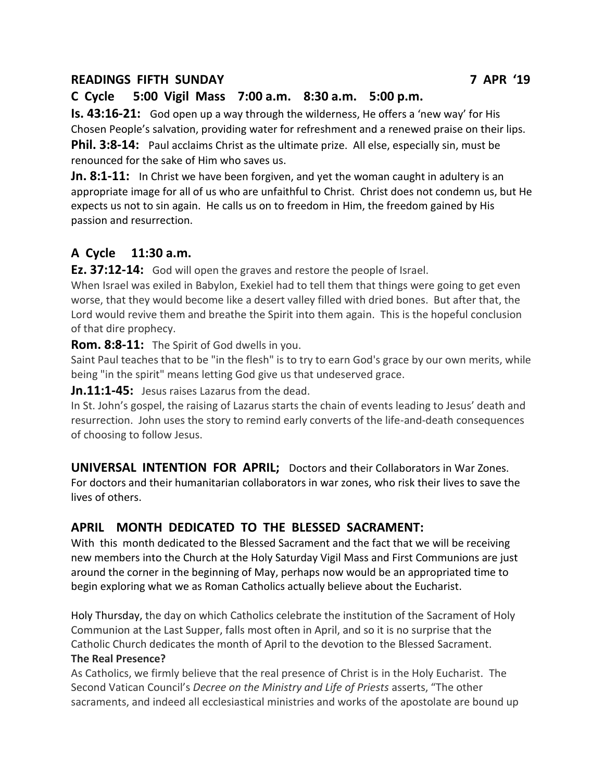## **READINGS FIFTH SUNDAY 7 APR '19**

## **C Cycle 5:00 Vigil Mass 7:00 a.m. 8:30 a.m. 5:00 p.m.**

**Is. 43:16-21:** God open up a way through the wilderness, He offers a 'new way' for His Chosen People's salvation, providing water for refreshment and a renewed praise on their lips. **Phil. 3:8-14:** Paul acclaims Christ as the ultimate prize. All else, especially sin, must be renounced for the sake of Him who saves us.

**Jn. 8:1-11:** In Christ we have been forgiven, and yet the woman caught in adultery is an appropriate image for all of us who are unfaithful to Christ. Christ does not condemn us, but He expects us not to sin again. He calls us on to freedom in Him, the freedom gained by His passion and resurrection.

## **A Cycle 11:30 a.m.**

**Ez. 37:12-14:** God will open the graves and restore the people of Israel.

When Israel was exiled in Babylon, Exekiel had to tell them that things were going to get even worse, that they would become like a desert valley filled with dried bones. But after that, the Lord would revive them and breathe the Spirit into them again. This is the hopeful conclusion of that dire prophecy.

**Rom. 8:8-11:** The Spirit of God dwells in you.

Saint Paul teaches that to be "in the flesh" is to try to earn God's grace by our own merits, while being "in the spirit" means letting God give us that undeserved grace.

**Jn.11:1-45:** Jesus raises Lazarus from the dead.

In St. John's gospel, the raising of Lazarus starts the chain of events leading to Jesus' death and resurrection. John uses the story to remind early converts of the life-and-death consequences of choosing to follow Jesus.

**UNIVERSAL INTENTION FOR APRIL;** Doctors and their Collaborators in War Zones. For doctors and their humanitarian collaborators in war zones, who risk their lives to save the lives of others.

# **APRIL MONTH DEDICATED TO THE BLESSED SACRAMENT:**

With this month dedicated to the Blessed Sacrament and the fact that we will be receiving new members into the Church at the Holy Saturday Vigil Mass and First Communions are just around the corner in the beginning of May, perhaps now would be an appropriated time to begin exploring what we as Roman Catholics actually believe about the Eucharist.

Holy Thursday, the day on which Catholics celebrate the institution of the Sacrament of Holy Communion at the Last Supper, falls most often in April, and so it is no surprise that the Catholic Church dedicates the month of April to the devotion to the Blessed Sacrament.

#### **The Real Presence?**

As Catholics, we firmly believe that the real presence of Christ is in the Holy Eucharist. The Second Vatican Council's *Decree on the Ministry and Life of Priests* asserts, "The other sacraments, and indeed all ecclesiastical ministries and works of the apostolate are bound up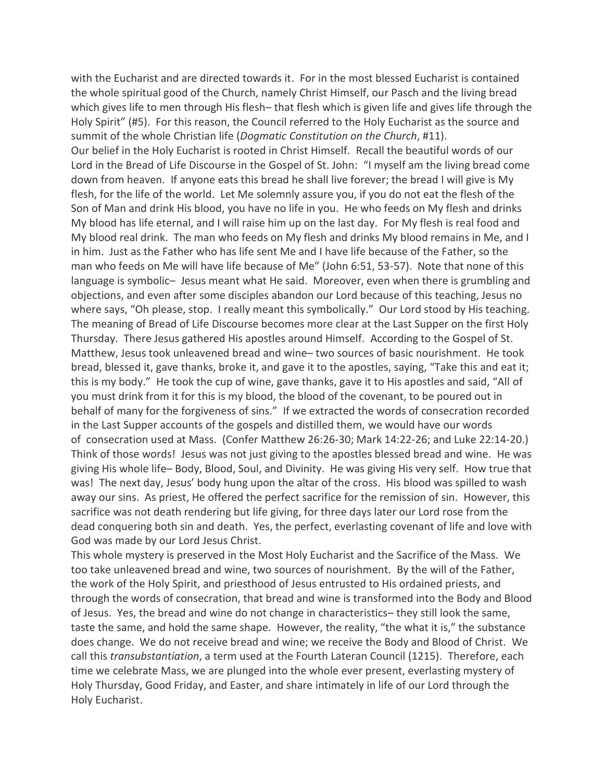with the Eucharist and are directed towards it. For in the most blessed Eucharist is contained the whole spiritual good of the Church, namely Christ Himself, our Pasch and the living bread which gives life to men through His flesh– that flesh which is given life and gives life through the Holy Spirit" (#5). For this reason, the Council referred to the Holy Eucharist as the source and summit of the whole Christian life (*Dogmatic Constitution on the Church*, #11). Our belief in the Holy Eucharist is rooted in Christ Himself. Recall the beautiful words of our Lord in the Bread of Life Discourse in the Gospel of St. John: "I myself am the living bread come down from heaven. If anyone eats this bread he shall live forever; the bread I will give is My flesh, for the life of the world. Let Me solemnly assure you, if you do not eat the flesh of the Son of Man and drink His blood, you have no life in you. He who feeds on My flesh and drinks My blood has life eternal, and I will raise him up on the last day. For My flesh is real food and My blood real drink. The man who feeds on My flesh and drinks My blood remains in Me, and I in him. Just as the Father who has life sent Me and I have life because of the Father, so the man who feeds on Me will have life because of Me" (John 6:51, 53-57). Note that none of this language is symbolic– Jesus meant what He said. Moreover, even when there is grumbling and objections, and even after some disciples abandon our Lord because of this teaching, Jesus no where says, "Oh please, stop. I really meant this symbolically." Our Lord stood by His teaching. The meaning of Bread of Life Discourse becomes more clear at the Last Supper on the first Holy Thursday. There Jesus gathered His apostles around Himself. According to the Gospel of St. Matthew, Jesus took unleavened bread and wine– two sources of basic nourishment. He took bread, blessed it, gave thanks, broke it, and gave it to the apostles, saying, "Take this and eat it; this is my body." He took the cup of wine, gave thanks, gave it to His apostles and said, "All of you must drink from it for this is my blood, the blood of the covenant, to be poured out in behalf of many for the forgiveness of sins." If we extracted the words of consecration recorded in the Last Supper accounts of the gospels and distilled them, we would have our words of consecration used at Mass. (Confer Matthew 26:26-30; Mark 14:22-26; and Luke 22:14-20.) Think of those words! Jesus was not just giving to the apostles blessed bread and wine. He was giving His whole life– Body, Blood, Soul, and Divinity. He was giving His very self. How true that was! The next day, Jesus' body hung upon the altar of the cross. His blood was spilled to wash away our sins. As priest, He offered the perfect sacrifice for the remission of sin. However, this sacrifice was not death rendering but life giving, for three days later our Lord rose from the dead conquering both sin and death. Yes, the perfect, everlasting covenant of life and love with God was made by our Lord Jesus Christ.

This whole mystery is preserved in the Most Holy Eucharist and the Sacrifice of the Mass. We too take unleavened bread and wine, two sources of nourishment. By the will of the Father, the work of the Holy Spirit, and priesthood of Jesus entrusted to His ordained priests, and through the words of consecration, that bread and wine is transformed into the Body and Blood of Jesus. Yes, the bread and wine do not change in characteristics– they still look the same, taste the same, and hold the same shape. However, the reality, "the what it is," the substance does change. We do not receive bread and wine; we receive the Body and Blood of Christ. We call this *transubstantiation*, a term used at the Fourth Lateran Council (1215). Therefore, each time we celebrate Mass, we are plunged into the whole ever present, everlasting mystery of Holy Thursday, Good Friday, and Easter, and share intimately in life of our Lord through the Holy Eucharist.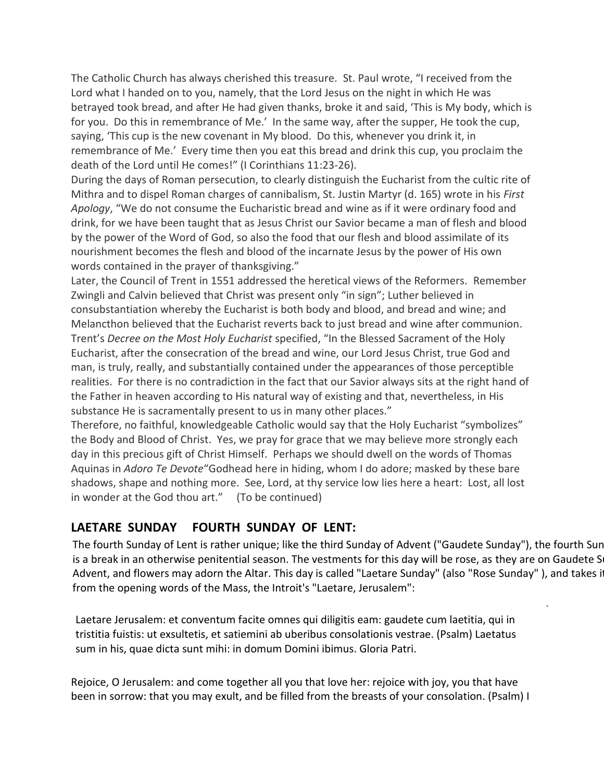The Catholic Church has always cherished this treasure. St. Paul wrote, "I received from the Lord what I handed on to you, namely, that the Lord Jesus on the night in which He was betrayed took bread, and after He had given thanks, broke it and said, 'This is My body, which is for you. Do this in remembrance of Me.' In the same way, after the supper, He took the cup, saying, 'This cup is the new covenant in My blood. Do this, whenever you drink it, in remembrance of Me.' Every time then you eat this bread and drink this cup, you proclaim the death of the Lord until He comes!" (I Corinthians 11:23-26).

During the days of Roman persecution, to clearly distinguish the Eucharist from the cultic rite of Mithra and to dispel Roman charges of cannibalism, St. Justin Martyr (d. 165) wrote in his *First Apology*, "We do not consume the Eucharistic bread and wine as if it were ordinary food and drink, for we have been taught that as Jesus Christ our Savior became a man of flesh and blood by the power of the Word of God, so also the food that our flesh and blood assimilate of its nourishment becomes the flesh and blood of the incarnate Jesus by the power of His own words contained in the prayer of thanksgiving."

Later, the Council of Trent in 1551 addressed the heretical views of the Reformers. Remember Zwingli and Calvin believed that Christ was present only "in sign"; Luther believed in consubstantiation whereby the Eucharist is both body and blood, and bread and wine; and Melancthon believed that the Eucharist reverts back to just bread and wine after communion. Trent's *Decree on the Most Holy Eucharist* specified, "In the Blessed Sacrament of the Holy Eucharist, after the consecration of the bread and wine, our Lord Jesus Christ, true God and man, is truly, really, and substantially contained under the appearances of those perceptible realities. For there is no contradiction in the fact that our Savior always sits at the right hand of the Father in heaven according to His natural way of existing and that, nevertheless, in His substance He is sacramentally present to us in many other places."

Therefore, no faithful, knowledgeable Catholic would say that the Holy Eucharist "symbolizes" the Body and Blood of Christ. Yes, we pray for grace that we may believe more strongly each day in this precious gift of Christ Himself. Perhaps we should dwell on the words of Thomas Aquinas in *Adoro Te Devote*"Godhead here in hiding, whom I do adore; masked by these bare shadows, shape and nothing more. See, Lord, at thy service low lies here a heart: Lost, all lost in wonder at the God thou art." (To be continued)

# **LAETARE SUNDAY FOURTH SUNDAY OF LENT:**

The fourth Sunday of Lent is rather unique; like the third Sunday of Advent ("Gaudete Sunday"), the fourth Sun is a break in an otherwise penitential season. The vestments for this day will be rose, as they are on Gaudete S Advent, and flowers may adorn the Altar. This day is called "Laetare Sunday" (also "Rose Sunday"), and takes i from the opening words of the Mass, the Introit's "Laetare, Jerusalem":

.

Laetare Jerusalem: et conventum facite omnes qui diligitis eam: gaudete cum laetitia, qui in tristitia fuistis: ut exsultetis, et satiemini ab uberibus consolationis vestrae. (Psalm) Laetatus sum in his, quae dicta sunt mihi: in domum Domini ibimus. Gloria Patri.

Rejoice, O Jerusalem: and come together all you that love her: rejoice with joy, you that have been in sorrow: that you may exult, and be filled from the breasts of your consolation. (Psalm) I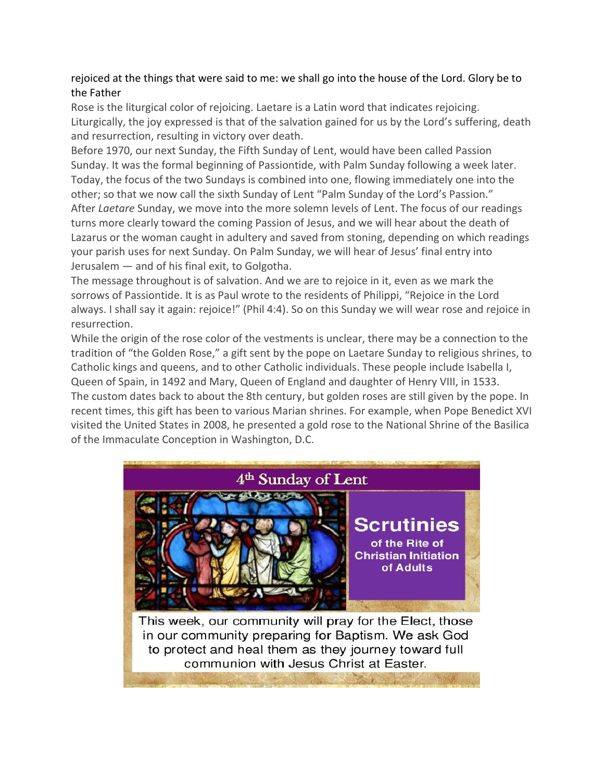## rejoiced at the things that were said to me: we shall go into the house of the Lord. Glory be to the Father

Rose is the liturgical color of rejoicing. Laetare is a Latin word that indicates rejoicing. Liturgically, the joy expressed is that of the salvation gained for us by the Lord's suffering, death and resurrection, resulting in victory over death.

Before 1970, our next Sunday, the Fifth Sunday of Lent, would have been called Passion Sunday. It was the formal beginning of Passiontide, with Palm Sunday following a week later. Today, the focus of the two Sundays is combined into one, flowing immediately one into the other; so that we now call the sixth Sunday of Lent "Palm Sunday of the Lord's Passion." After *Laetare* Sunday, we move into the more solemn levels of Lent. The focus of our readings turns more clearly toward the coming Passion of Jesus, and we will hear about the death of Lazarus or the woman caught in adultery and saved from stoning, depending on which readings your parish uses for next Sunday. On Palm Sunday, we will hear of Jesus' final entry into Jerusalem — and of his final exit, to Golgotha.

The message throughout is of salvation. And we are to rejoice in it, even as we mark the sorrows of Passiontide. It is as Paul wrote to the residents of Philippi, "Rejoice in the Lord always. I shall say it again: rejoice!" (Phil 4:4). So on this Sunday we will wear rose and rejoice in resurrection.

While the origin of the rose color of the vestments is unclear, there may be a connection to the tradition of "the Golden Rose," a gift sent by the pope on Laetare Sunday to religious shrines, to Catholic kings and queens, and to other Catholic individuals. These people include Isabella I, Queen of Spain, in 1492 and Mary, Queen of England and daughter of Henry VIII, in 1533. The custom dates back to about the 8th century, but golden roses are still given by the pope. In recent times, this gift has been to various Marian shrines. For example, when Pope Benedict XVI visited the United States in 2008, he presented a gold rose to the National Shrine of the Basilica of the Immaculate Conception in Washington, D.C.



This week, our community will pray for the Elect, those in our community preparing for Baptism. We ask God to protect and heal them as they journey toward full communion with Jesus Christ at Easter.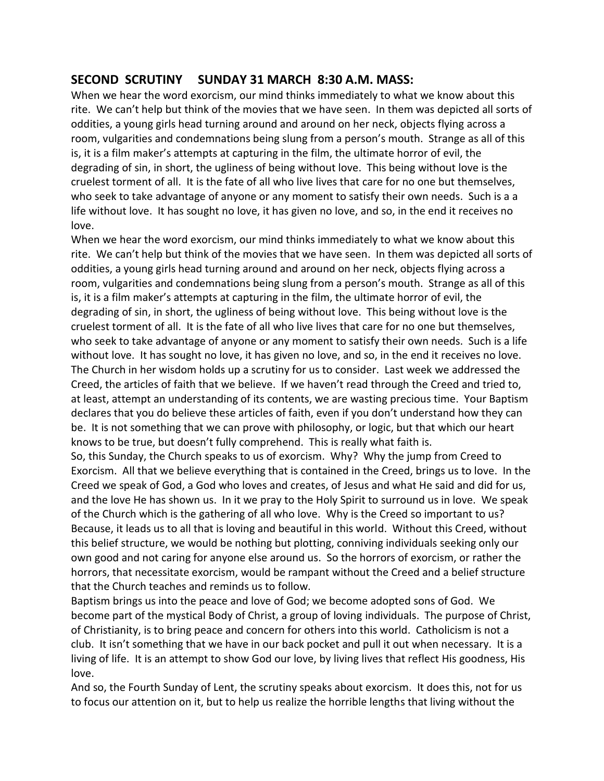# **SECOND SCRUTINY SUNDAY 31 MARCH 8:30 A.M. MASS:**

When we hear the word exorcism, our mind thinks immediately to what we know about this rite. We can't help but think of the movies that we have seen. In them was depicted all sorts of oddities, a young girls head turning around and around on her neck, objects flying across a room, vulgarities and condemnations being slung from a person's mouth. Strange as all of this is, it is a film maker's attempts at capturing in the film, the ultimate horror of evil, the degrading of sin, in short, the ugliness of being without love. This being without love is the cruelest torment of all. It is the fate of all who live lives that care for no one but themselves, who seek to take advantage of anyone or any moment to satisfy their own needs. Such is a a life without love. It has sought no love, it has given no love, and so, in the end it receives no love.

When we hear the word exorcism, our mind thinks immediately to what we know about this rite. We can't help but think of the movies that we have seen. In them was depicted all sorts of oddities, a young girls head turning around and around on her neck, objects flying across a room, vulgarities and condemnations being slung from a person's mouth. Strange as all of this is, it is a film maker's attempts at capturing in the film, the ultimate horror of evil, the degrading of sin, in short, the ugliness of being without love. This being without love is the cruelest torment of all. It is the fate of all who live lives that care for no one but themselves, who seek to take advantage of anyone or any moment to satisfy their own needs. Such is a life without love. It has sought no love, it has given no love, and so, in the end it receives no love. The Church in her wisdom holds up a scrutiny for us to consider. Last week we addressed the Creed, the articles of faith that we believe. If we haven't read through the Creed and tried to, at least, attempt an understanding of its contents, we are wasting precious time. Your Baptism declares that you do believe these articles of faith, even if you don't understand how they can be. It is not something that we can prove with philosophy, or logic, but that which our heart knows to be true, but doesn't fully comprehend. This is really what faith is.

So, this Sunday, the Church speaks to us of exorcism. Why? Why the jump from Creed to Exorcism. All that we believe everything that is contained in the Creed, brings us to love. In the Creed we speak of God, a God who loves and creates, of Jesus and what He said and did for us, and the love He has shown us. In it we pray to the Holy Spirit to surround us in love. We speak of the Church which is the gathering of all who love. Why is the Creed so important to us? Because, it leads us to all that is loving and beautiful in this world. Without this Creed, without this belief structure, we would be nothing but plotting, conniving individuals seeking only our own good and not caring for anyone else around us. So the horrors of exorcism, or rather the horrors, that necessitate exorcism, would be rampant without the Creed and a belief structure that the Church teaches and reminds us to follow.

Baptism brings us into the peace and love of God; we become adopted sons of God. We become part of the mystical Body of Christ, a group of loving individuals. The purpose of Christ, of Christianity, is to bring peace and concern for others into this world. Catholicism is not a club. It isn't something that we have in our back pocket and pull it out when necessary. It is a living of life. It is an attempt to show God our love, by living lives that reflect His goodness, His love.

And so, the Fourth Sunday of Lent, the scrutiny speaks about exorcism. It does this, not for us to focus our attention on it, but to help us realize the horrible lengths that living without the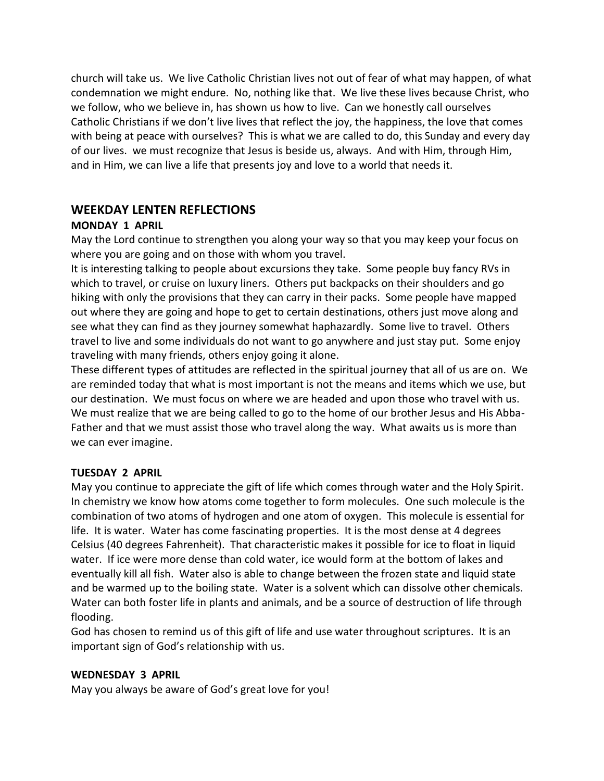church will take us. We live Catholic Christian lives not out of fear of what may happen, of what condemnation we might endure. No, nothing like that. We live these lives because Christ, who we follow, who we believe in, has shown us how to live. Can we honestly call ourselves Catholic Christians if we don't live lives that reflect the joy, the happiness, the love that comes with being at peace with ourselves? This is what we are called to do, this Sunday and every day of our lives. we must recognize that Jesus is beside us, always. And with Him, through Him, and in Him, we can live a life that presents joy and love to a world that needs it.

## **WEEKDAY LENTEN REFLECTIONS**

#### **MONDAY 1 APRIL**

May the Lord continue to strengthen you along your way so that you may keep your focus on where you are going and on those with whom you travel.

It is interesting talking to people about excursions they take. Some people buy fancy RVs in which to travel, or cruise on luxury liners. Others put backpacks on their shoulders and go hiking with only the provisions that they can carry in their packs. Some people have mapped out where they are going and hope to get to certain destinations, others just move along and see what they can find as they journey somewhat haphazardly. Some live to travel. Others travel to live and some individuals do not want to go anywhere and just stay put. Some enjoy traveling with many friends, others enjoy going it alone.

These different types of attitudes are reflected in the spiritual journey that all of us are on. We are reminded today that what is most important is not the means and items which we use, but our destination. We must focus on where we are headed and upon those who travel with us. We must realize that we are being called to go to the home of our brother Jesus and His Abba-Father and that we must assist those who travel along the way. What awaits us is more than we can ever imagine.

#### **TUESDAY 2 APRIL**

May you continue to appreciate the gift of life which comes through water and the Holy Spirit. In chemistry we know how atoms come together to form molecules. One such molecule is the combination of two atoms of hydrogen and one atom of oxygen. This molecule is essential for life. It is water. Water has come fascinating properties. It is the most dense at 4 degrees Celsius (40 degrees Fahrenheit). That characteristic makes it possible for ice to float in liquid water. If ice were more dense than cold water, ice would form at the bottom of lakes and eventually kill all fish. Water also is able to change between the frozen state and liquid state and be warmed up to the boiling state. Water is a solvent which can dissolve other chemicals. Water can both foster life in plants and animals, and be a source of destruction of life through flooding.

God has chosen to remind us of this gift of life and use water throughout scriptures. It is an important sign of God's relationship with us.

#### **WEDNESDAY 3 APRIL**

May you always be aware of God's great love for you!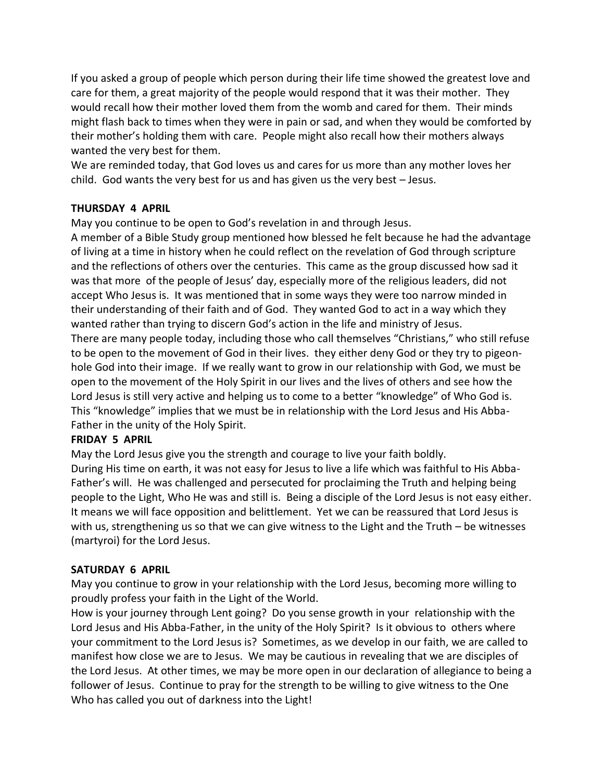If you asked a group of people which person during their life time showed the greatest love and care for them, a great majority of the people would respond that it was their mother. They would recall how their mother loved them from the womb and cared for them. Their minds might flash back to times when they were in pain or sad, and when they would be comforted by their mother's holding them with care. People might also recall how their mothers always wanted the very best for them.

We are reminded today, that God loves us and cares for us more than any mother loves her child. God wants the very best for us and has given us the very best – Jesus.

#### **THURSDAY 4 APRIL**

May you continue to be open to God's revelation in and through Jesus.

A member of a Bible Study group mentioned how blessed he felt because he had the advantage of living at a time in history when he could reflect on the revelation of God through scripture and the reflections of others over the centuries. This came as the group discussed how sad it was that more of the people of Jesus' day, especially more of the religious leaders, did not accept Who Jesus is. It was mentioned that in some ways they were too narrow minded in their understanding of their faith and of God. They wanted God to act in a way which they wanted rather than trying to discern God's action in the life and ministry of Jesus. There are many people today, including those who call themselves "Christians," who still refuse to be open to the movement of God in their lives. they either deny God or they try to pigeonhole God into their image. If we really want to grow in our relationship with God, we must be open to the movement of the Holy Spirit in our lives and the lives of others and see how the Lord Jesus is still very active and helping us to come to a better "knowledge" of Who God is. This "knowledge" implies that we must be in relationship with the Lord Jesus and His Abba-Father in the unity of the Holy Spirit.

#### **FRIDAY 5 APRIL**

May the Lord Jesus give you the strength and courage to live your faith boldly. During His time on earth, it was not easy for Jesus to live a life which was faithful to His Abba-Father's will. He was challenged and persecuted for proclaiming the Truth and helping being people to the Light, Who He was and still is. Being a disciple of the Lord Jesus is not easy either. It means we will face opposition and belittlement. Yet we can be reassured that Lord Jesus is with us, strengthening us so that we can give witness to the Light and the Truth – be witnesses (martyroi) for the Lord Jesus.

#### **SATURDAY 6 APRIL**

May you continue to grow in your relationship with the Lord Jesus, becoming more willing to proudly profess your faith in the Light of the World.

How is your journey through Lent going? Do you sense growth in your relationship with the Lord Jesus and His Abba-Father, in the unity of the Holy Spirit? Is it obvious to others where your commitment to the Lord Jesus is? Sometimes, as we develop in our faith, we are called to manifest how close we are to Jesus. We may be cautious in revealing that we are disciples of the Lord Jesus. At other times, we may be more open in our declaration of allegiance to being a follower of Jesus. Continue to pray for the strength to be willing to give witness to the One Who has called you out of darkness into the Light!